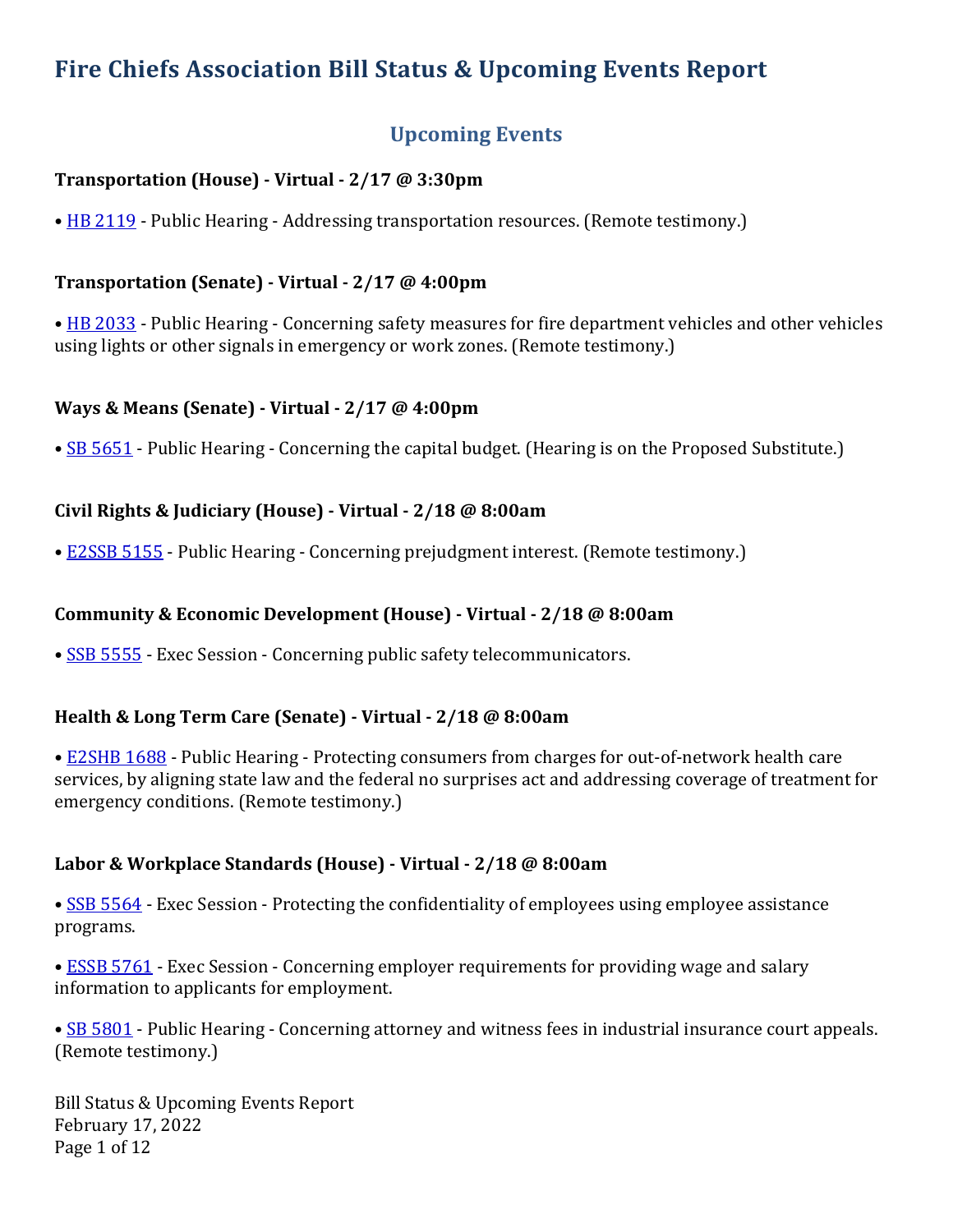# Fire Chiefs Association Bill Status & Upcoming Events Report

## **Upcoming Events**

## **Transportation (House) - Virtual - 2/17 @ 3:30pm**

• HB 2119 - Public Hearing - Addressing transportation resources. (Remote testimony.)

## **Transportation (Senate) - Virtual - 2/17 @ 4:00pm**

• HB 2033 - Public Hearing - Concerning safety measures for fire department vehicles and other vehicles using lights or other signals in emergency or work zones. (Remote testimony.)

## **Ways & Means (Senate) - Virtual - 2/17 @ 4:00pm**

• SB 5651 - Public Hearing - Concerning the capital budget. (Hearing is on the Proposed Substitute.)

## **Civil Rights & Judiciary (House) - Virtual - 2/18 @ 8:00am**

• E2SSB 5155 - Public Hearing - Concerning prejudgment interest. (Remote testimony.)

## **Community & Economic Development (House) - Virtual - 2/18 @ 8:00am**

• SSB 5555 - Exec Session - Concerning public safety telecommunicators.

## **Health & Long Term Care (Senate)** - Virtual - 2/18 @ 8:00am

• E2SHB 1688 - Public Hearing - Protecting consumers from charges for out-of-network health care services, by aligning state law and the federal no surprises act and addressing coverage of treatment for emergency conditions. (Remote testimony.)

## **Labor & Workplace Standards (House) - Virtual - 2/18 @ 8:00am**

• SSB 5564 - Exec Session - Protecting the confidentiality of employees using employee assistance programs.

• **ESSB 5761** - Exec Session - Concerning employer requirements for providing wage and salary information to applicants for employment.

• SB 5801 - Public Hearing - Concerning attorney and witness fees in industrial insurance court appeals. (Remote testimony.)

Bill Status & Upcoming Events Report February 17, 2022 Page 1 of 12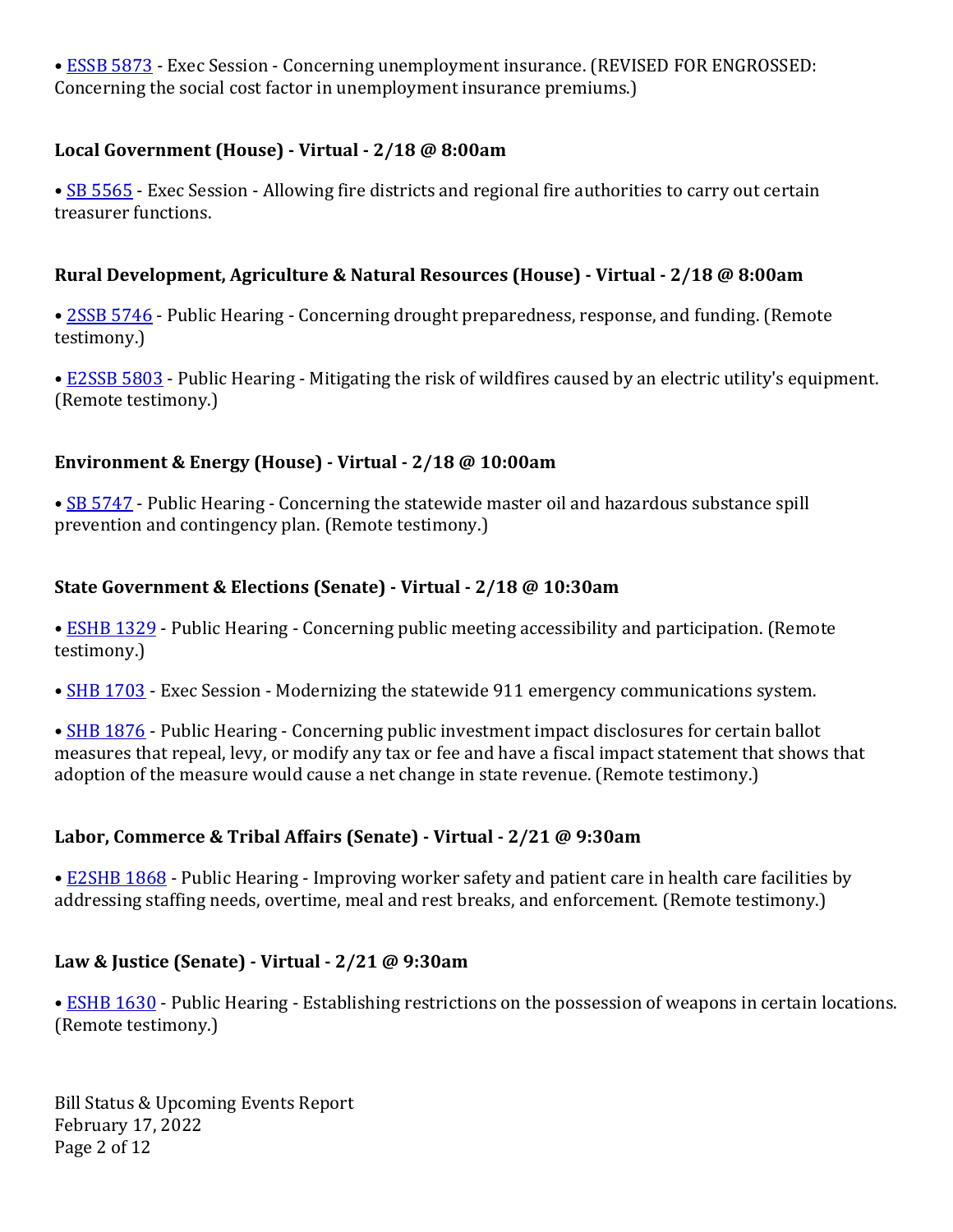• ESSB 5873 - Exec Session - Concerning unemployment insurance. (REVISED FOR ENGROSSED: Concerning the social cost factor in unemployment insurance premiums.)

## **Local Government (House) - Virtual - 2/18 @ 8:00am**

• SB 5565 - Exec Session - Allowing fire districts and regional fire authorities to carry out certain treasurer functions.

## **Rural Development, Agriculture & Natural Resources (House) - Virtual - 2/18 @ 8:00am**

• 2SSB 5746 - Public Hearing - Concerning drought preparedness, response, and funding. (Remote testimony.)

• E2SSB 5803 - Public Hearing - Mitigating the risk of wildfires caused by an electric utility's equipment. (Remote testimony.)

## **Environment & Energy (House)** - Virtual - 2/18 @ 10:00am

• SB 5747 - Public Hearing - Concerning the statewide master oil and hazardous substance spill prevention and contingency plan. (Remote testimony.)

## **State Government & Elections (Senate) - Virtual - 2/18 @ 10:30am**

• **ESHB 1329** - Public Hearing - Concerning public meeting accessibility and participation. (Remote testimony.)

• SHB 1703 - Exec Session - Modernizing the statewide 911 emergency communications system.

• SHB 1876 - Public Hearing - Concerning public investment impact disclosures for certain ballot measures that repeal, levy, or modify any tax or fee and have a fiscal impact statement that shows that adoption of the measure would cause a net change in state revenue. (Remote testimony.)

## **Labor, Commerce & Tribal Affairs (Senate) - Virtual - 2/21 @ 9:30am**

• E2SHB 1868 - Public Hearing - Improving worker safety and patient care in health care facilities by addressing staffing needs, overtime, meal and rest breaks, and enforcement. (Remote testimony.)

## **Law & Justice (Senate) - Virtual - 2/21 @ 9:30am**

• ESHB 1630 - Public Hearing - Establishing restrictions on the possession of weapons in certain locations. (Remote testimony.)

Bill Status & Upcoming Events Report February 17, 2022 Page 2 of 12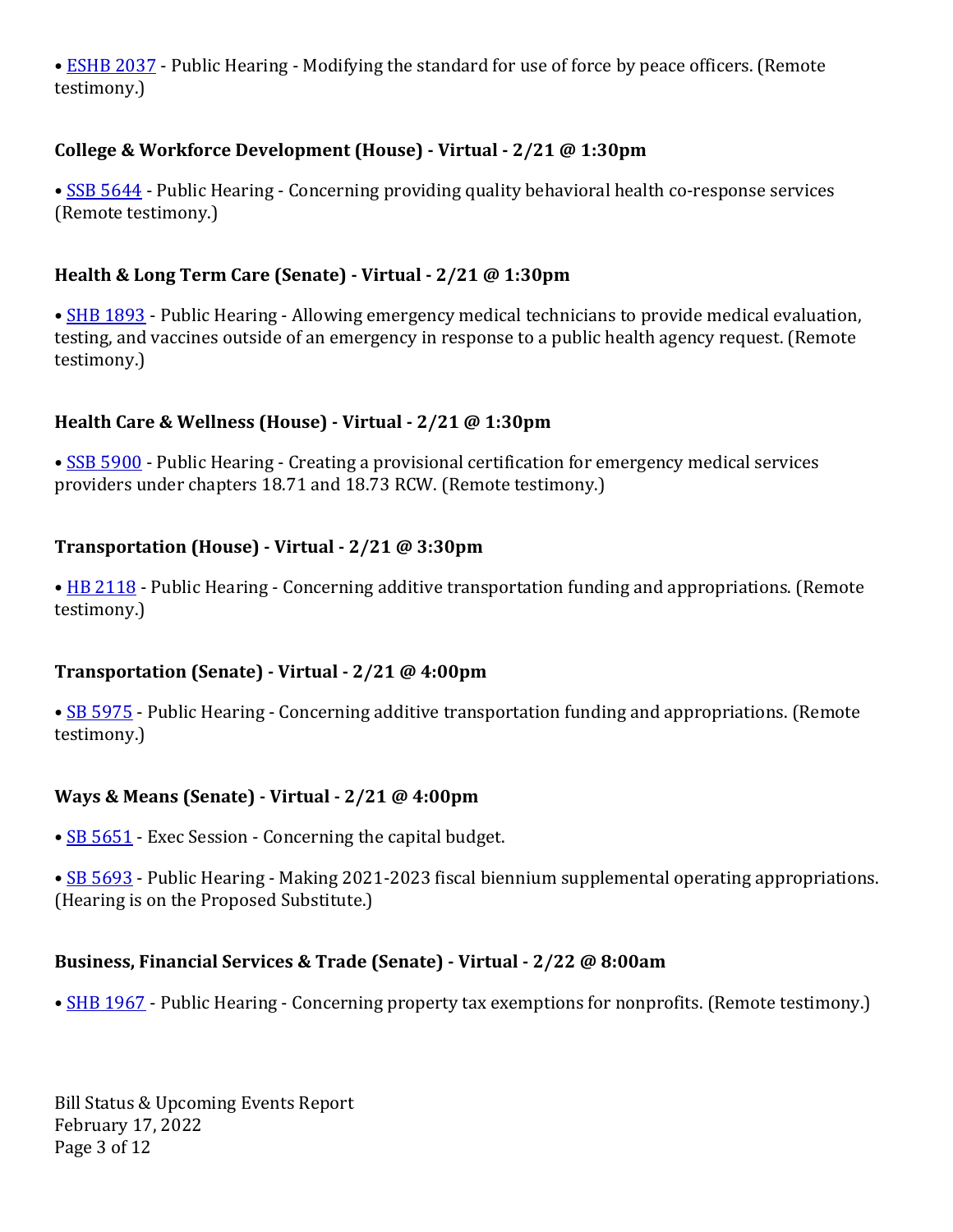• ESHB 2037 - Public Hearing - Modifying the standard for use of force by peace officers. (Remote testimony.)

## **College & Workforce Development (House)** - Virtual -  $2/21$  @ 1:30pm

• SSB 5644 - Public Hearing - Concerning providing quality behavioral health co-response services (Remote testimony.)

## **Health & Long Term Care (Senate) - Virtual - 2/21 @ 1:30pm**

• SHB 1893 - Public Hearing - Allowing emergency medical technicians to provide medical evaluation, testing, and vaccines outside of an emergency in response to a public health agency request. (Remote testimony.)

## **Health Care & Wellness (House) - Virtual - 2/21 @ 1:30pm**

• SSB 5900 - Public Hearing - Creating a provisional certification for emergency medical services providers under chapters 18.71 and 18.73 RCW. (Remote testimony.)

## **Transportation (House) - Virtual - 2/21 @ 3:30pm**

• HB 2118 - Public Hearing - Concerning additive transportation funding and appropriations. (Remote testimony.)

## **Transportation (Senate) - Virtual - 2/21 @ 4:00pm**

• SB 5975 - Public Hearing - Concerning additive transportation funding and appropriations. (Remote testimony.)

## **Ways & Means (Senate) - Virtual - 2/21 @ 4:00pm**

- SB 5651 Exec Session Concerning the capital budget.
- SB 5693 Public Hearing Making 2021-2023 fiscal biennium supplemental operating appropriations. (Hearing is on the Proposed Substitute.)

## **Business, Financial Services & Trade (Senate) - Virtual - 2/22 @ 8:00am**

• SHB 1967 - Public Hearing - Concerning property tax exemptions for nonprofits. (Remote testimony.)

Bill Status & Upcoming Events Report February 17, 2022 Page 3 of 12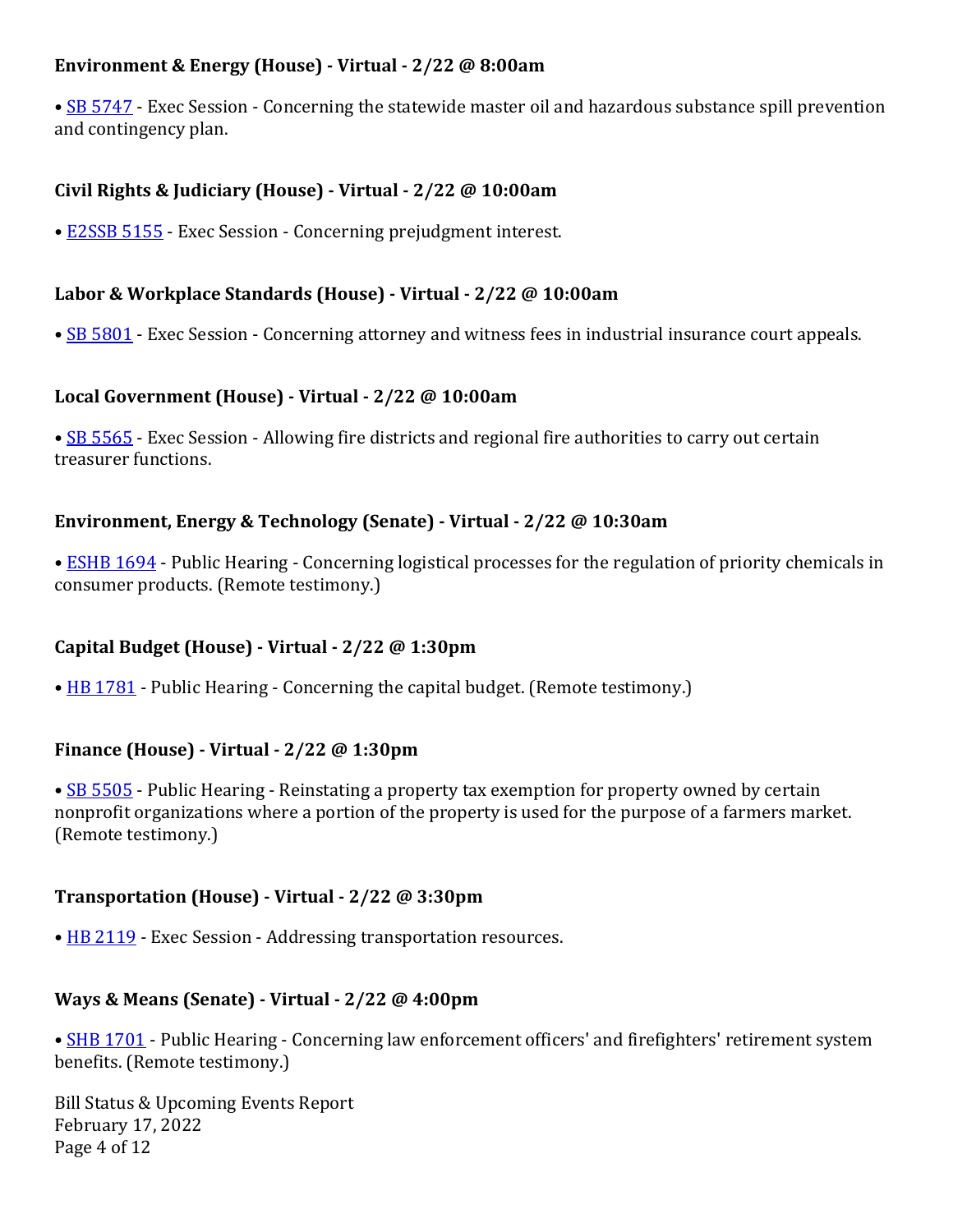## **Environment & Energy (House)** - Virtual - 2/22 @ 8:00am

• SB 5747 - Exec Session - Concerning the statewide master oil and hazardous substance spill prevention and contingency plan.

#### **Civil Rights & Judiciary (House) - Virtual - 2/22 @ 10:00am**

• E2SSB 5155 - Exec Session - Concerning prejudgment interest.

#### **Labor & Workplace Standards (House)** - Virtual - 2/22 @ 10:00am

• SB 5801 - Exec Session - Concerning attorney and witness fees in industrial insurance court appeals.

#### **Local Government (House) - Virtual - 2/22 @ 10:00am**

• SB 5565 - Exec Session - Allowing fire districts and regional fire authorities to carry out certain treasurer functions.

#### **Environment, Energy & Technology (Senate)** - Virtual - 2/22 @ 10:30am

• ESHB 1694 - Public Hearing - Concerning logistical processes for the regulation of priority chemicals in consumer products. (Remote testimony.)

## **Capital Budget (House) - Virtual - 2/22 @ 1:30pm**

• HB 1781 - Public Hearing - Concerning the capital budget. (Remote testimony.)

#### **Finance (House) - Virtual - 2/22 @ 1:30pm**

• SB 5505 - Public Hearing - Reinstating a property tax exemption for property owned by certain nonprofit organizations where a portion of the property is used for the purpose of a farmers market. (Remote testimony.)

#### **Transportation (House) - Virtual - 2/22 @ 3:30pm**

• HB 2119 - Exec Session - Addressing transportation resources.

#### **Ways & Means (Senate) - Virtual - 2/22 @ 4:00pm**

• SHB 1701 - Public Hearing - Concerning law enforcement officers' and firefighters' retirement system benefits. (Remote testimony.)

Bill Status & Upcoming Events Report February 17, 2022 Page 4 of 12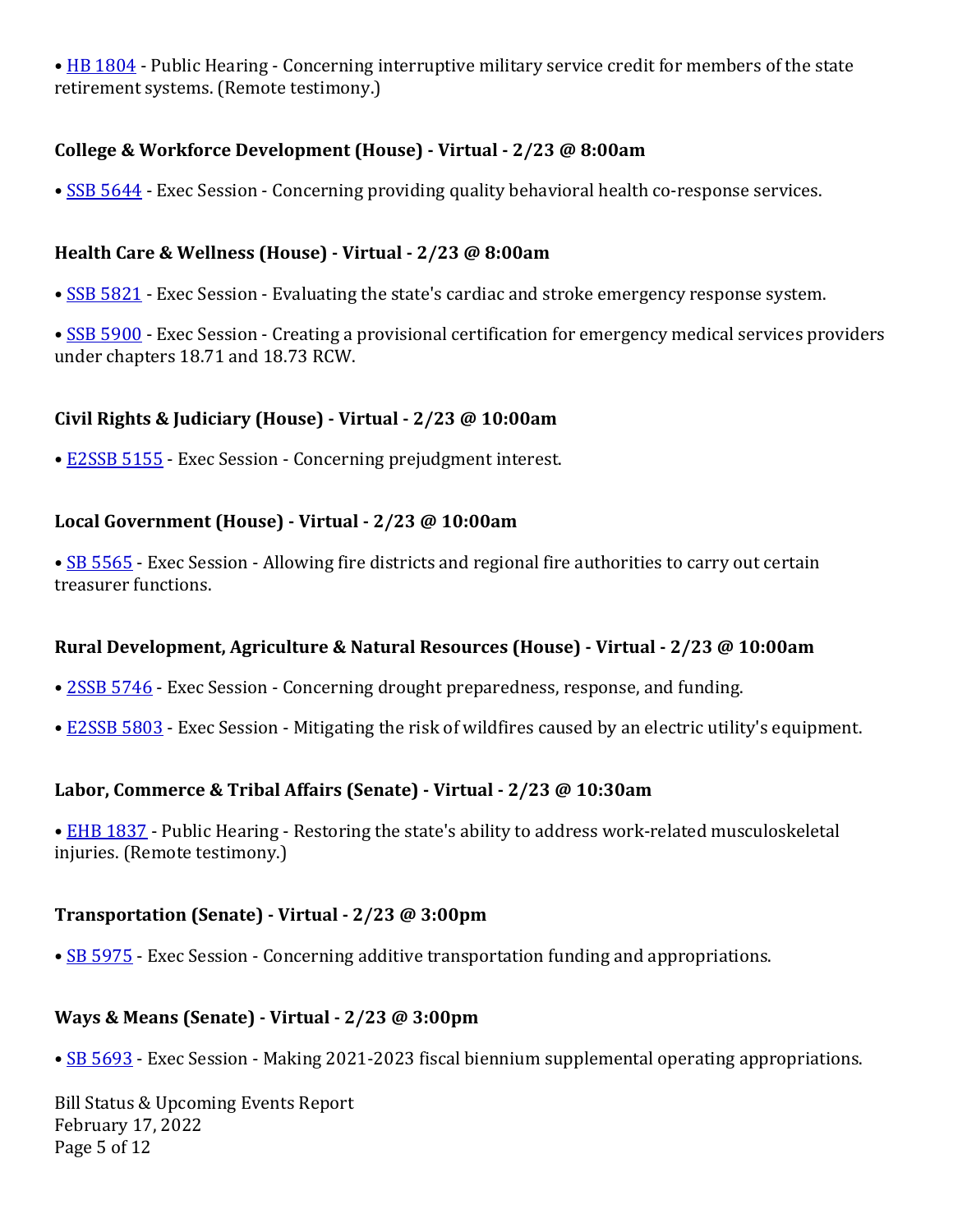• HB 1804 - Public Hearing - Concerning interruptive military service credit for members of the state retirement systems. (Remote testimony.)

## **College & Workforce Development (House) - Virtual - 2/23 @ 8:00am**

• SSB 5644 - Exec Session - Concerning providing quality behavioral health co-response services.

## **Health Care & Wellness (House) - Virtual - 2/23 @ 8:00am**

- SSB 5821 Exec Session Evaluating the state's cardiac and stroke emergency response system.
- SSB 5900 Exec Session Creating a provisional certification for emergency medical services providers under chapters 18.71 and 18.73 RCW.

## **Civil Rights & Judiciary (House) - Virtual - 2/23 @ 10:00am**

• E2SSB 5155 - Exec Session - Concerning prejudgment interest.

## **Local Government (House) - Virtual - 2/23 @ 10:00am**

• SB 5565 - Exec Session - Allowing fire districts and regional fire authorities to carry out certain treasurer functions.

## **Rural Development, Agriculture & Natural Resources (House) - Virtual - 2/23 @ 10:00am**

- 2SSB 5746 Exec Session Concerning drought preparedness, response, and funding.
- E2SSB 5803 Exec Session Mitigating the risk of wildfires caused by an electric utility's equipment.

## **Labor, Commerce & Tribal Affairs (Senate)** - Virtual - 2/23 @ 10:30am

• EHB 1837 - Public Hearing - Restoring the state's ability to address work-related musculoskeletal injuries. (Remote testimony.)

## **Transportation (Senate) - Virtual - 2/23 @ 3:00pm**

• SB 5975 - Exec Session - Concerning additive transportation funding and appropriations.

## **Ways & Means (Senate) - Virtual - 2/23 @ 3:00pm**

• SB 5693 - Exec Session - Making 2021-2023 fiscal biennium supplemental operating appropriations.

Bill Status & Upcoming Events Report February 17, 2022 Page 5 of 12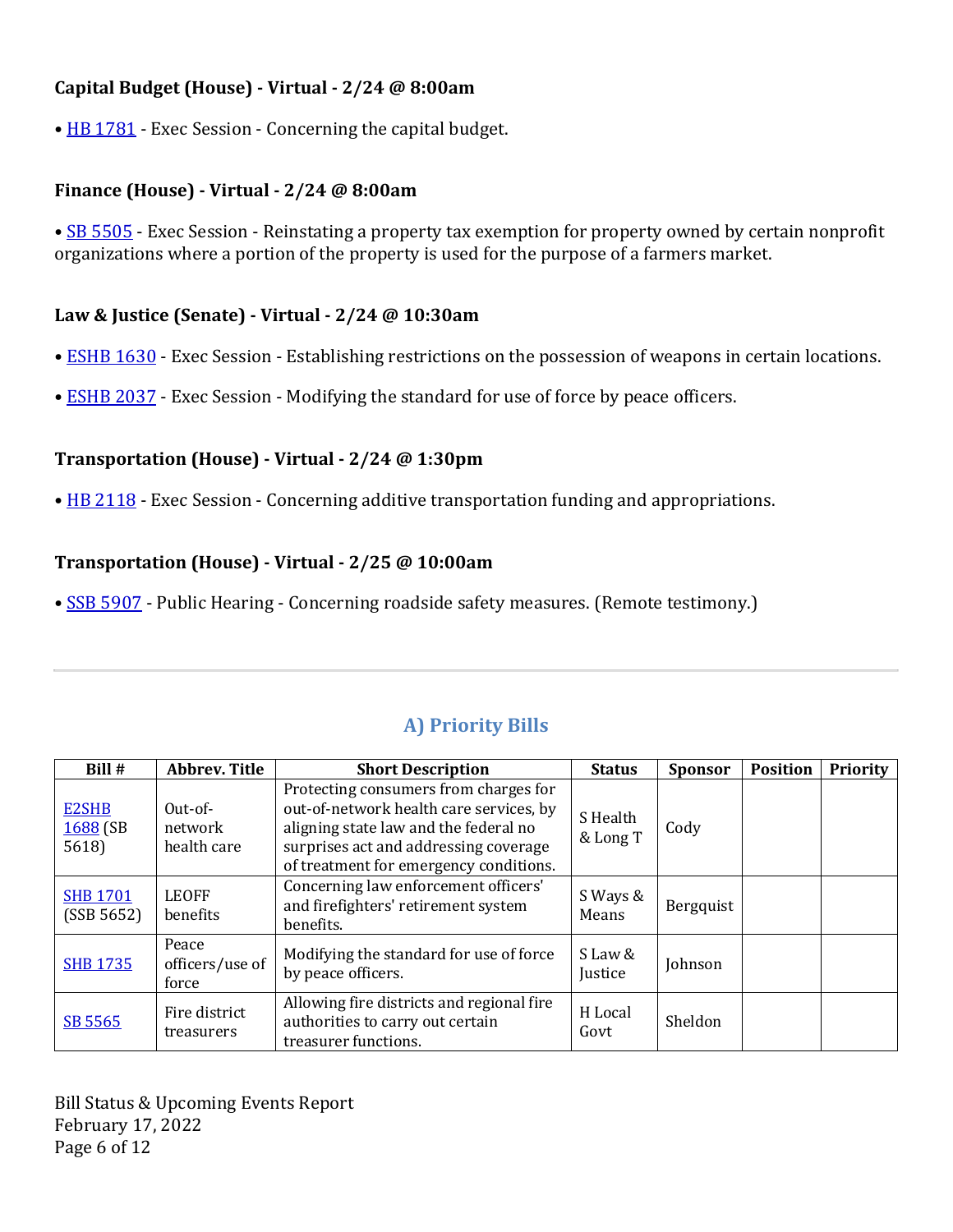#### **Capital Budget (House) - Virtual - 2/24 @ 8:00am**

• HB 1781 - Exec Session - Concerning the capital budget.

#### **Finance (House) - Virtual - 2/24 @ 8:00am**

• SB 5505 - Exec Session - Reinstating a property tax exemption for property owned by certain nonprofit organizations where a portion of the property is used for the purpose of a farmers market.

#### **Law & Justice (Senate) - Virtual - 2/24 @ 10:30am**

- ESHB 1630 Exec Session Establishing restrictions on the possession of weapons in certain locations.
- ESHB 2037 Exec Session Modifying the standard for use of force by peace officers.

## **Transportation (House) - Virtual - 2/24 @ 1:30pm**

• HB 2118 - Exec Session - Concerning additive transportation funding and appropriations.

## **Transportation (House) - Virtual - 2/25 @ 10:00am**

• SSB 5907 - Public Hearing - Concerning roadside safety measures. (Remote testimony.)

| Bill #                              | <b>Abbrev. Title</b>                | <b>Short Description</b>                                                                                                                                                                                     | <b>Status</b>        | <b>Sponsor</b> | <b>Position</b> | <b>Priority</b> |
|-------------------------------------|-------------------------------------|--------------------------------------------------------------------------------------------------------------------------------------------------------------------------------------------------------------|----------------------|----------------|-----------------|-----------------|
| <b>E2SHB</b><br>$1688$ (SB<br>5618) | $Out-of-$<br>network<br>health care | Protecting consumers from charges for<br>out-of-network health care services, by<br>aligning state law and the federal no<br>surprises act and addressing coverage<br>of treatment for emergency conditions. | S Health<br>& Long T | Cody           |                 |                 |
| <b>SHB 1701</b><br>(SSB 5652)       | <b>LEOFF</b><br>benefits            | Concerning law enforcement officers'<br>and firefighters' retirement system<br>benefits.                                                                                                                     | S Ways &<br>Means    | Bergquist      |                 |                 |
| <b>SHB 1735</b>                     | Peace<br>officers/use of<br>force   | Modifying the standard for use of force<br>by peace officers.                                                                                                                                                | S Law &<br>Justice   | Johnson        |                 |                 |
| SB 5565                             | Fire district<br>treasurers         | Allowing fire districts and regional fire<br>authorities to carry out certain<br>treasurer functions.                                                                                                        | H Local<br>Govt      | Sheldon        |                 |                 |

## **A) Priority Bills**

Bill Status & Upcoming Events Report February 17, 2022 Page 6 of 12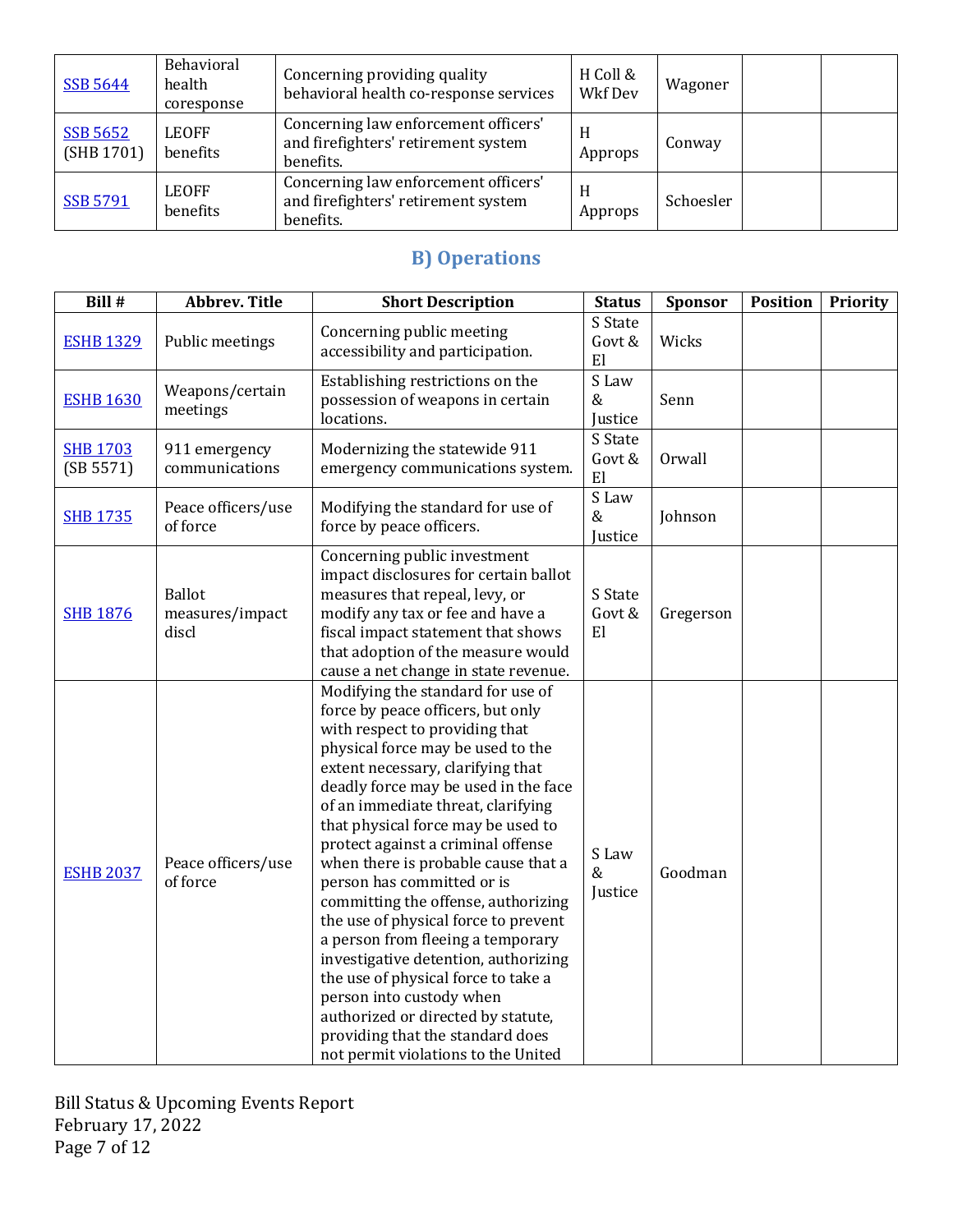| <b>SSB 5644</b>               | Behavioral<br>health<br>coresponse | Concerning providing quality<br>behavioral health co-response services                   | H Coll &<br>Wkf Dev | Wagoner   |  |
|-------------------------------|------------------------------------|------------------------------------------------------------------------------------------|---------------------|-----------|--|
| <b>SSB 5652</b><br>(SHB 1701) | <b>LEOFF</b><br>benefits           | Concerning law enforcement officers'<br>and firefighters' retirement system<br>benefits. | H<br>Approps        | Conway    |  |
| <b>SSB 5791</b>               | <b>LEOFF</b><br>benefits           | Concerning law enforcement officers'<br>and firefighters' retirement system<br>benefits. | H<br>Approps        | Schoesler |  |

# **B)** Operations

| Bill #                       | <b>Abbrev. Title</b>                      | <b>Short Description</b>                                                                                                                                                                                                                                                                                                                                                                                                                                                                                                                                                                                                                                                                                                                                          | <b>Status</b>            | Sponsor   | <b>Position</b> | Priority |
|------------------------------|-------------------------------------------|-------------------------------------------------------------------------------------------------------------------------------------------------------------------------------------------------------------------------------------------------------------------------------------------------------------------------------------------------------------------------------------------------------------------------------------------------------------------------------------------------------------------------------------------------------------------------------------------------------------------------------------------------------------------------------------------------------------------------------------------------------------------|--------------------------|-----------|-----------------|----------|
| <b>ESHB 1329</b>             | Public meetings                           | Concerning public meeting<br>accessibility and participation.                                                                                                                                                                                                                                                                                                                                                                                                                                                                                                                                                                                                                                                                                                     | S State<br>Govt &<br>E1  | Wicks     |                 |          |
| <b>ESHB 1630</b>             | Weapons/certain<br>meetings               | Establishing restrictions on the<br>possession of weapons in certain<br>locations.                                                                                                                                                                                                                                                                                                                                                                                                                                                                                                                                                                                                                                                                                | S Law<br>&<br>Justice    | Senn      |                 |          |
| <b>SHB 1703</b><br>(SB 5571) | 911 emergency<br>communications           | Modernizing the statewide 911<br>emergency communications system.                                                                                                                                                                                                                                                                                                                                                                                                                                                                                                                                                                                                                                                                                                 | S State<br>Govt &<br>El  | Orwall    |                 |          |
| <b>SHB 1735</b>              | Peace officers/use<br>of force            | Modifying the standard for use of<br>force by peace officers.                                                                                                                                                                                                                                                                                                                                                                                                                                                                                                                                                                                                                                                                                                     | S Law<br>$\&$<br>Justice | Johnson   |                 |          |
| <b>SHB 1876</b>              | <b>Ballot</b><br>measures/impact<br>discl | Concerning public investment<br>impact disclosures for certain ballot<br>measures that repeal, levy, or<br>modify any tax or fee and have a<br>fiscal impact statement that shows<br>that adoption of the measure would<br>cause a net change in state revenue.                                                                                                                                                                                                                                                                                                                                                                                                                                                                                                   | S State<br>Govt &<br>E1  | Gregerson |                 |          |
| <b>ESHB 2037</b>             | Peace officers/use<br>of force            | Modifying the standard for use of<br>force by peace officers, but only<br>with respect to providing that<br>physical force may be used to the<br>extent necessary, clarifying that<br>deadly force may be used in the face<br>of an immediate threat, clarifying<br>that physical force may be used to<br>protect against a criminal offense<br>when there is probable cause that a<br>person has committed or is<br>committing the offense, authorizing<br>the use of physical force to prevent<br>a person from fleeing a temporary<br>investigative detention, authorizing<br>the use of physical force to take a<br>person into custody when<br>authorized or directed by statute,<br>providing that the standard does<br>not permit violations to the United | S Law<br>$\&$<br>Justice | Goodman   |                 |          |

Bill Status & Upcoming Events Report February 17, 2022 Page 7 of 12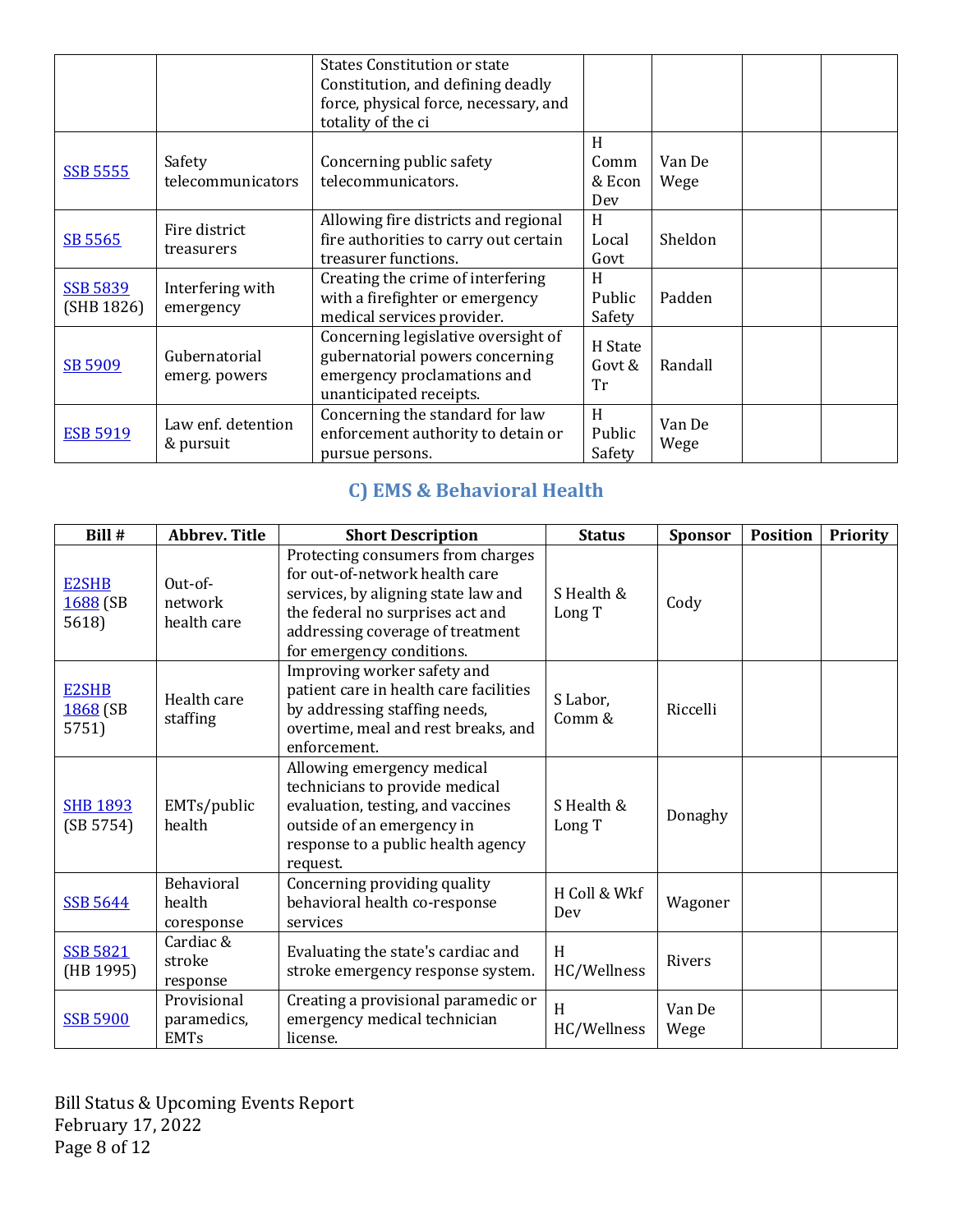|                               |                                 | <b>States Constitution or state</b><br>Constitution, and defining deadly<br>force, physical force, necessary, and<br>totality of the ci |                            |                |  |
|-------------------------------|---------------------------------|-----------------------------------------------------------------------------------------------------------------------------------------|----------------------------|----------------|--|
| <b>SSB 5555</b>               | Safety<br>telecommunicators     | Concerning public safety<br>telecommunicators.                                                                                          | H<br>Comm<br>& Econ<br>Dev | Van De<br>Wege |  |
| SB 5565                       | Fire district<br>treasurers     | Allowing fire districts and regional<br>fire authorities to carry out certain<br>treasurer functions.                                   | H<br>Local<br>Govt         | Sheldon        |  |
| <b>SSB 5839</b><br>(SHB 1826) | Interfering with<br>emergency   | Creating the crime of interfering<br>with a firefighter or emergency<br>medical services provider.                                      | H<br>Public<br>Safety      | Padden         |  |
| SB 5909                       | Gubernatorial<br>emerg. powers  | Concerning legislative oversight of<br>gubernatorial powers concerning<br>emergency proclamations and<br>unanticipated receipts.        | H State<br>Govt &<br>Tr    | Randall        |  |
| <b>ESB 5919</b>               | Law enf. detention<br>& pursuit | Concerning the standard for law<br>enforcement authority to detain or<br>pursue persons.                                                | H<br>Public<br>Safety      | Van De<br>Wege |  |

# **C)** EMS & Behavioral Health

| Bill #                            | <b>Abbrev. Title</b>                      | <b>Short Description</b>                                                                                                                                                                                        | <b>Status</b>        | <b>Sponsor</b> | <b>Position</b> | <b>Priority</b> |
|-----------------------------------|-------------------------------------------|-----------------------------------------------------------------------------------------------------------------------------------------------------------------------------------------------------------------|----------------------|----------------|-----------------|-----------------|
| <b>E2SHB</b><br>1688 (SB<br>5618) | Out-of-<br>network<br>health care         | Protecting consumers from charges<br>for out-of-network health care<br>services, by aligning state law and<br>the federal no surprises act and<br>addressing coverage of treatment<br>for emergency conditions. | S Health &<br>Long T | Cody           |                 |                 |
| <b>E2SHB</b><br>1868 (SB<br>5751) | Health care<br>staffing                   | Improving worker safety and<br>patient care in health care facilities<br>by addressing staffing needs,<br>overtime, meal and rest breaks, and<br>enforcement.                                                   | S Labor,<br>Comm &   | Riccelli       |                 |                 |
| <b>SHB 1893</b><br>(SB 5754)      | EMTs/public<br>health                     | Allowing emergency medical<br>technicians to provide medical<br>evaluation, testing, and vaccines<br>outside of an emergency in<br>response to a public health agency<br>request.                               | S Health &<br>Long T | Donaghy        |                 |                 |
| <b>SSB 5644</b>                   | <b>Behavioral</b><br>health<br>coresponse | Concerning providing quality<br>behavioral health co-response<br>services                                                                                                                                       | H Coll & Wkf<br>Dev  | Wagoner        |                 |                 |
| <b>SSB 5821</b><br>(HB 1995)      | Cardiac &<br>stroke<br>response           | Evaluating the state's cardiac and<br>stroke emergency response system.                                                                                                                                         | H<br>HC/Wellness     | <b>Rivers</b>  |                 |                 |
| <b>SSB 5900</b>                   | Provisional<br>paramedics,<br><b>EMTs</b> | Creating a provisional paramedic or<br>emergency medical technician<br>license.                                                                                                                                 | H<br>HC/Wellness     | Van De<br>Wege |                 |                 |

Bill Status & Upcoming Events Report February 17, 2022 Page 8 of 12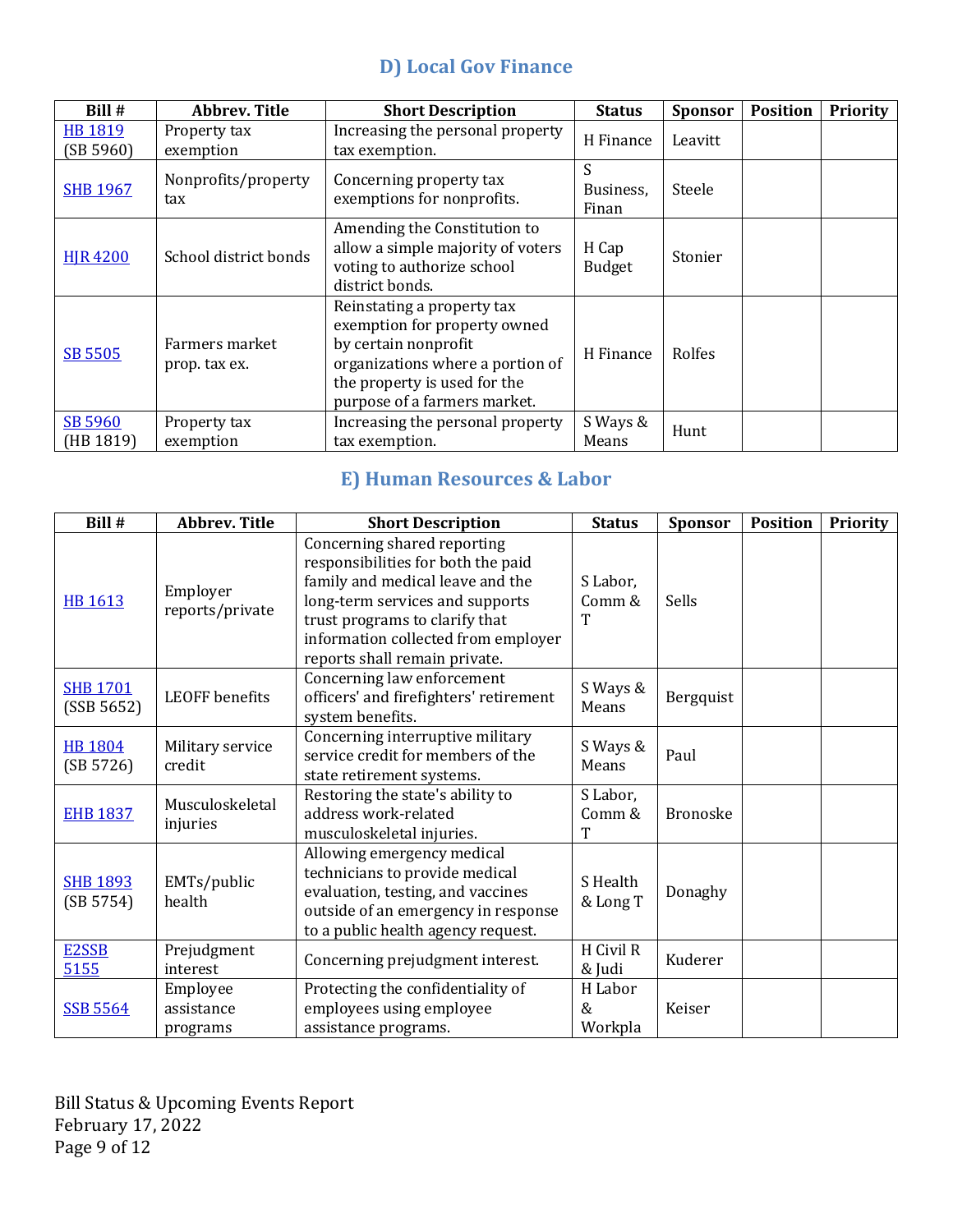## **D)** Local Gov Finance

| Bill #                      | <b>Abbrev. Title</b>            | <b>Short Description</b>                                                                                                                                                               | <b>Status</b>           | <b>Sponsor</b> | <b>Position</b> | Priority |
|-----------------------------|---------------------------------|----------------------------------------------------------------------------------------------------------------------------------------------------------------------------------------|-------------------------|----------------|-----------------|----------|
| <b>HB 1819</b><br>(SB 5960) | Property tax<br>exemption       | Increasing the personal property<br>tax exemption.                                                                                                                                     | H Finance               | Leavitt        |                 |          |
| <b>SHB 1967</b>             | Nonprofits/property<br>tax      | Concerning property tax<br>exemptions for nonprofits.                                                                                                                                  | S<br>Business,<br>Finan | Steele         |                 |          |
| <b>HIR 4200</b>             | School district bonds           | Amending the Constitution to<br>allow a simple majority of voters<br>voting to authorize school<br>district bonds.                                                                     | H Cap<br><b>Budget</b>  | Stonier        |                 |          |
| <b>SB 5505</b>              | Farmers market<br>prop. tax ex. | Reinstating a property tax<br>exemption for property owned<br>by certain nonprofit<br>organizations where a portion of<br>the property is used for the<br>purpose of a farmers market. | H Finance               | Rolfes         |                 |          |
| SB 5960<br>(HB 1819)        | Property tax<br>exemption       | Increasing the personal property<br>tax exemption.                                                                                                                                     | S Ways &<br>Means       | Hunt           |                 |          |

## **E) Human Resources & Labor**

| Bill #                        | <b>Abbrev. Title</b>               | <b>Short Description</b>                                                                                                                                                                                                                           | <b>Status</b>           | <b>Sponsor</b>  | <b>Position</b> | <b>Priority</b> |
|-------------------------------|------------------------------------|----------------------------------------------------------------------------------------------------------------------------------------------------------------------------------------------------------------------------------------------------|-------------------------|-----------------|-----------------|-----------------|
| <b>HB 1613</b>                | Employer<br>reports/private        | Concerning shared reporting<br>responsibilities for both the paid<br>family and medical leave and the<br>long-term services and supports<br>trust programs to clarify that<br>information collected from employer<br>reports shall remain private. | S Labor,<br>Comm &<br>T | Sells           |                 |                 |
| <b>SHB 1701</b><br>(SSB 5652) | <b>LEOFF</b> benefits              | Concerning law enforcement<br>officers' and firefighters' retirement<br>system benefits.                                                                                                                                                           | S Ways &<br>Means       | Bergquist       |                 |                 |
| <b>HB 1804</b><br>(SB 5726)   | Military service<br>credit         | Concerning interruptive military<br>service credit for members of the<br>state retirement systems.                                                                                                                                                 | S Ways &<br>Means       | Paul            |                 |                 |
| <b>EHB 1837</b>               | Musculoskeletal<br>injuries        | Restoring the state's ability to<br>address work-related<br>musculoskeletal injuries.                                                                                                                                                              | S Labor,<br>Comm &<br>T | <b>Bronoske</b> |                 |                 |
| <b>SHB 1893</b><br>(SB 5754)  | EMTs/public<br>health              | Allowing emergency medical<br>technicians to provide medical<br>evaluation, testing, and vaccines<br>outside of an emergency in response<br>to a public health agency request.                                                                     | S Health<br>& Long T    | Donaghy         |                 |                 |
| E2SSB<br>5155                 | Prejudgment<br>interest            | Concerning prejudgment interest.                                                                                                                                                                                                                   | H Civil R<br>& Judi     | Kuderer         |                 |                 |
| <b>SSB 5564</b>               | Employee<br>assistance<br>programs | Protecting the confidentiality of<br>employees using employee<br>assistance programs.                                                                                                                                                              | H Labor<br>&<br>Workpla | Keiser          |                 |                 |

Bill Status & Upcoming Events Report February 17, 2022 Page 9 of 12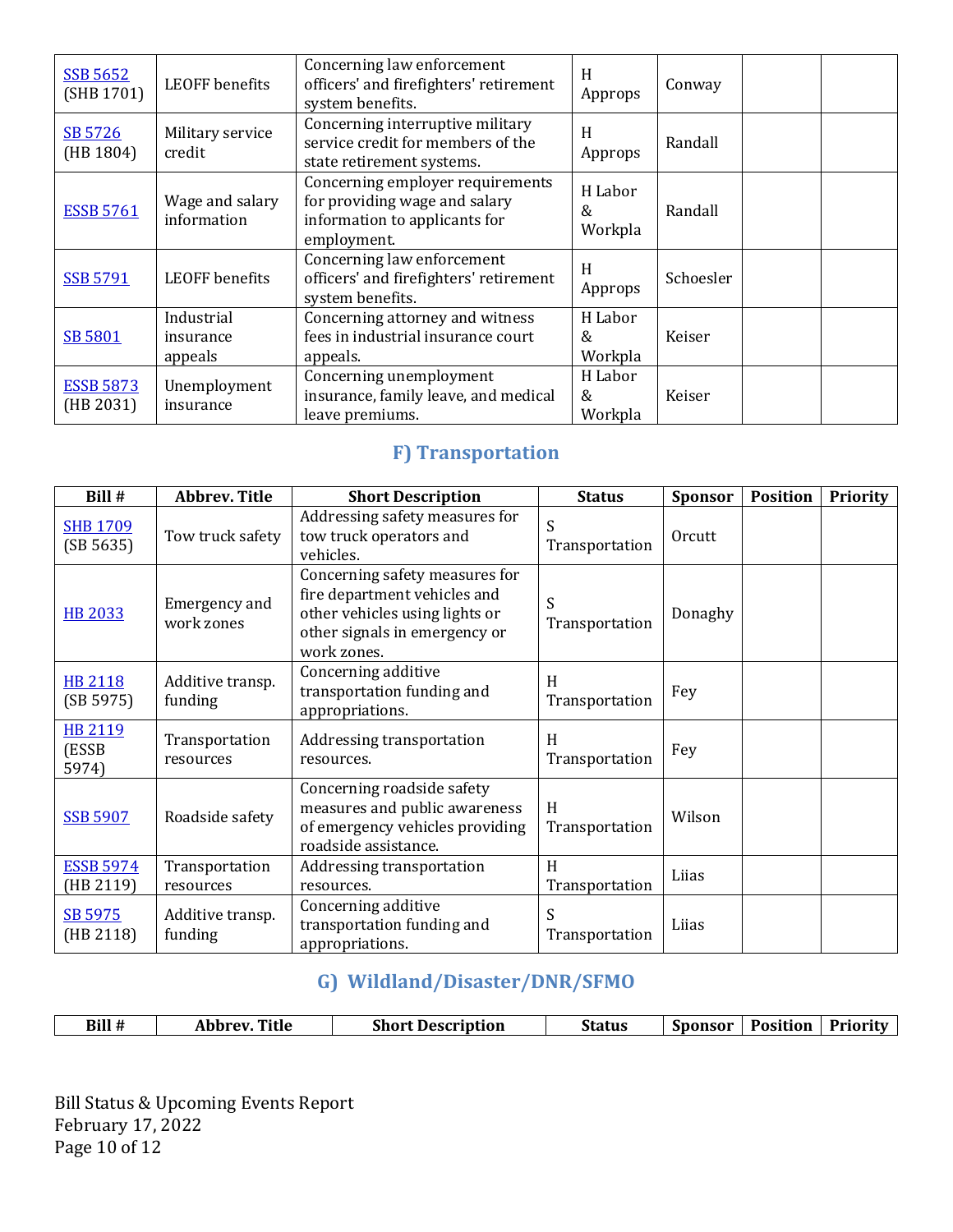| <b>SSB 5652</b><br>(SHB 1701) | <b>LEOFF</b> benefits              | Concerning law enforcement<br>officers' and firefighters' retirement<br>system benefits.                          | H<br>Approps            | Conway    |  |
|-------------------------------|------------------------------------|-------------------------------------------------------------------------------------------------------------------|-------------------------|-----------|--|
| SB 5726<br>(HB 1804)          | Military service<br>credit         | Concerning interruptive military<br>service credit for members of the<br>state retirement systems.                | H<br>Approps            | Randall   |  |
| <b>ESSB 5761</b>              | Wage and salary<br>information     | Concerning employer requirements<br>for providing wage and salary<br>information to applicants for<br>employment. | H Labor<br>&<br>Workpla | Randall   |  |
| <b>SSB 5791</b>               | LEOFF benefits                     | Concerning law enforcement<br>officers' and firefighters' retirement<br>system benefits.                          | H<br>Approps            | Schoesler |  |
| <b>SB 5801</b>                | Industrial<br>insurance<br>appeals | Concerning attorney and witness<br>fees in industrial insurance court<br>appeals.                                 | H Labor<br>&<br>Workpla | Keiser    |  |
| <b>ESSB 5873</b><br>(HB 2031) | Unemployment<br>insurance          | Concerning unemployment<br>insurance, family leave, and medical<br>leave premiums.                                | H Labor<br>&<br>Workpla | Keiser    |  |

## **F)** Transportation

| Bill #                           | <b>Abbrev. Title</b>               | <b>Short Description</b>                                                                                                                         | <b>Status</b>       | <b>Sponsor</b> | <b>Position</b> | <b>Priority</b> |
|----------------------------------|------------------------------------|--------------------------------------------------------------------------------------------------------------------------------------------------|---------------------|----------------|-----------------|-----------------|
| <b>SHB 1709</b><br>(SB 5635)     | Tow truck safety                   | Addressing safety measures for<br>tow truck operators and<br>vehicles.                                                                           | S<br>Transportation | Orcutt         |                 |                 |
| <b>HB 2033</b>                   | <b>Emergency and</b><br>work zones | Concerning safety measures for<br>fire department vehicles and<br>other vehicles using lights or<br>other signals in emergency or<br>work zones. | S<br>Transportation | Donaghy        |                 |                 |
| <b>HB 2118</b><br>(SB 5975)      | Additive transp.<br>funding        | Concerning additive<br>transportation funding and<br>appropriations.                                                                             | H<br>Transportation | Fey            |                 |                 |
| <b>HB 2119</b><br>(ESSB<br>5974) | Transportation<br>resources        | Addressing transportation<br>resources.                                                                                                          | H<br>Transportation | Fey            |                 |                 |
| <b>SSB 5907</b>                  | Roadside safety                    | Concerning roadside safety<br>measures and public awareness<br>of emergency vehicles providing<br>roadside assistance.                           | H<br>Transportation | Wilson         |                 |                 |
| <b>ESSB 5974</b><br>(HB 2119)    | Transportation<br>resources        | Addressing transportation<br>resources.                                                                                                          | H<br>Transportation | Liias          |                 |                 |
| SB 5975<br>(HB 2118)             | Additive transp.<br>funding        | Concerning additive<br>transportation funding and<br>appropriations.                                                                             | S<br>Transportation | Liias          |                 |                 |

## **G) Wildland/Disaster/DNR/SFMO**

| Bill #<br>Title<br><b>Short Description</b><br>Abbrev. | Status | Sponsor | <b>Position</b> | Priority |
|--------------------------------------------------------|--------|---------|-----------------|----------|
|--------------------------------------------------------|--------|---------|-----------------|----------|

Bill Status & Upcoming Events Report February 17, 2022 Page 10 of 12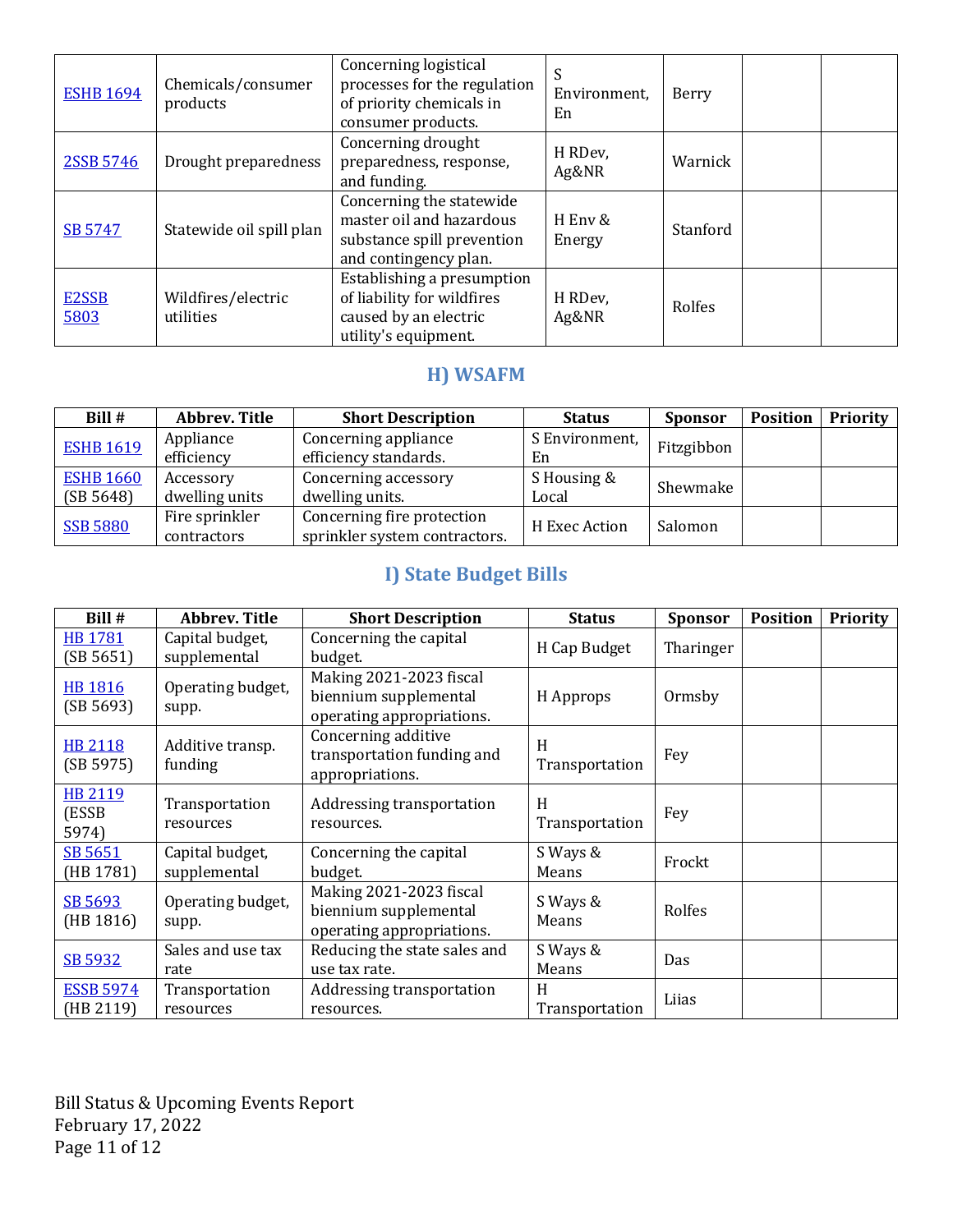| <b>ESHB 1694</b>           | Chemicals/consumer<br>products  | Concerning logistical<br>processes for the regulation<br>of priority chemicals in<br>consumer products.     | S<br>Environment,<br>En | Berry    |  |
|----------------------------|---------------------------------|-------------------------------------------------------------------------------------------------------------|-------------------------|----------|--|
| 2SSB 5746                  | Drought preparedness            | Concerning drought<br>preparedness, response,<br>and funding.                                               | H RDev,<br>Ag&NR        | Warnick  |  |
| SB 5747                    | Statewide oil spill plan        | Concerning the statewide<br>master oil and hazardous<br>substance spill prevention<br>and contingency plan. | H Env &<br>Energy       | Stanford |  |
| E <sub>2</sub> SSB<br>5803 | Wildfires/electric<br>utilities | Establishing a presumption<br>of liability for wildfires<br>caused by an electric<br>utility's equipment.   | H RDev,<br>Ag&NR        | Rolfes   |  |

## **H) WSAFM**

| Bill #           | Abbrev. Title  | <b>Short Description</b>      | <b>Status</b>            | <b>Sponsor</b> | <b>Position</b> | <b>Priority</b> |
|------------------|----------------|-------------------------------|--------------------------|----------------|-----------------|-----------------|
| <b>ESHB 1619</b> | Appliance      | Concerning appliance          | S Environment,           | Fitzgibbon     |                 |                 |
|                  | efficiency     | efficiency standards.         | En                       |                |                 |                 |
| <b>ESHB 1660</b> | Accessory      | Concerning accessory          | S Housing &              |                |                 |                 |
| (SB 5648)        | dwelling units | dwelling units.               | Local                    | Shewmake       |                 |                 |
| <b>SSB 5880</b>  | Fire sprinkler | Concerning fire protection    |                          |                |                 |                 |
|                  | contractors    | sprinkler system contractors. | H Exec Action<br>Salomon |                |                 |                 |

# **I)** State Budget Bills

| Bill #                           | <b>Abbrev. Title</b>            | <b>Short Description</b>                                                      | <b>Status</b>       | <b>Sponsor</b> | <b>Position</b> | <b>Priority</b> |
|----------------------------------|---------------------------------|-------------------------------------------------------------------------------|---------------------|----------------|-----------------|-----------------|
| <b>HB1781</b><br>(SB 5651)       | Capital budget,<br>supplemental | Concerning the capital<br>budget.                                             | H Cap Budget        | Tharinger      |                 |                 |
| <b>HB1816</b><br>(SB 5693)       | Operating budget,<br>supp.      | Making 2021-2023 fiscal<br>biennium supplemental<br>operating appropriations. | H Approps           | Ormsby         |                 |                 |
| <b>HB 2118</b><br>(SB 5975)      | Additive transp.<br>funding     | Concerning additive<br>transportation funding and<br>appropriations.          | H<br>Transportation | Fey            |                 |                 |
| <b>HB 2119</b><br>(ESSB<br>5974) | Transportation<br>resources     | Addressing transportation<br>resources.                                       | H<br>Transportation | Fey            |                 |                 |
| SB 5651<br>(HB 1781)             | Capital budget,<br>supplemental | Concerning the capital<br>budget.                                             | S Ways &<br>Means   | Frockt         |                 |                 |
| SB 5693<br>(HB 1816)             | Operating budget,<br>supp.      | Making 2021-2023 fiscal<br>biennium supplemental<br>operating appropriations. | S Ways &<br>Means   | Rolfes         |                 |                 |
| SB 5932                          | Sales and use tax<br>rate       | Reducing the state sales and<br>use tax rate.                                 | S Ways &<br>Means   | Das            |                 |                 |
| <b>ESSB 5974</b><br>(HB 2119)    | Transportation<br>resources     | Addressing transportation<br>resources.                                       | H<br>Transportation | Liias          |                 |                 |

Bill Status & Upcoming Events Report February 17, 2022 Page 11 of 12